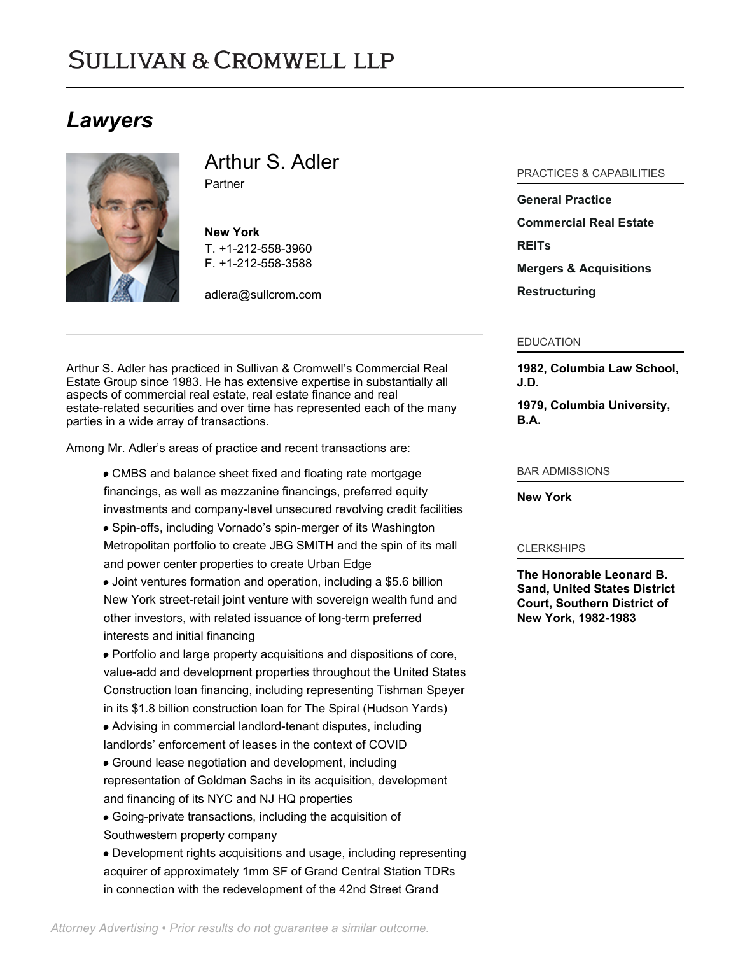# **SULLIVAN & CROMWELL LLP**

# *Lawyers*



Arthur S. Adler Partner

**New York** T. [+1-212-558-3960](tel:+1-212-558-3960) F. [+1-212-558-3588](tel:+1-212-558-3588)

[adlera@sullcrom.com](https://www.sullcrom.com/email-disclaimer?profsid=lawyers/ArthurS-Adler)

Arthur S. Adler has practiced in Sullivan & Cromwell's Commercial Real Estate Group since 1983. He has extensive expertise in substantially all aspects of commercial real estate, real estate finance and real estate-related securities and over time has represented each of the many parties in a wide array of transactions.

Among Mr. Adler's areas of practice and recent transactions are:

- CMBS and balance sheet fixed and floating rate mortgage financings, as well as mezzanine financings, preferred equity investments and company-level unsecured revolving credit facilities
- Spin-offs, including Vornado's spin-merger of its Washington Metropolitan portfolio to create JBG SMITH and the spin of its mall and power center properties to create Urban Edge
- Joint ventures formation and operation, including a \$5.6 billion New York street-retail joint venture with sovereign wealth fund and other investors, with related issuance of long-term preferred interests and initial financing
- Portfolio and large property acquisitions and dispositions of core, value-add and development properties throughout the United States Construction loan financing, including representing Tishman Speyer in its \$1.8 billion construction loan for The Spiral (Hudson Yards)
- Advising in commercial landlord-tenant disputes, including landlords' enforcement of leases in the context of COVID
- Ground lease negotiation and development, including representation of Goldman Sachs in its acquisition, development and financing of its NYC and NJ HQ properties
- Going-private transactions, including the acquisition of Southwestern property company
- Development rights acquisitions and usage, including representing acquirer of approximately 1mm SF of Grand Central Station TDRs in connection with the redevelopment of the 42nd Street Grand

### PRACTICES & CAPABILITIES

**[General Practice](https://www.sullcrom.com/general-practice) [Commercial Real Estate](https://www.sullcrom.com/Commercial-Real-Estate) [REITs](https://www.sullcrom.com/commercialrealestate-reits) [Mergers & Acquisitions](https://www.sullcrom.com/Mergers--Acquisitions-Practices) [Restructuring](https://www.sullcrom.com/Restructuring-and-Bankruptcy-Practices)**

#### EDUCATION

**1982, Columbia Law School, J.D.** 

**1979, Columbia University, B.A.** 

#### BAR ADMISSIONS

**New York** 

#### **CLERKSHIPS**

**The Honorable Leonard B. Sand, United States District Court, Southern District of New York, 1982-1983**